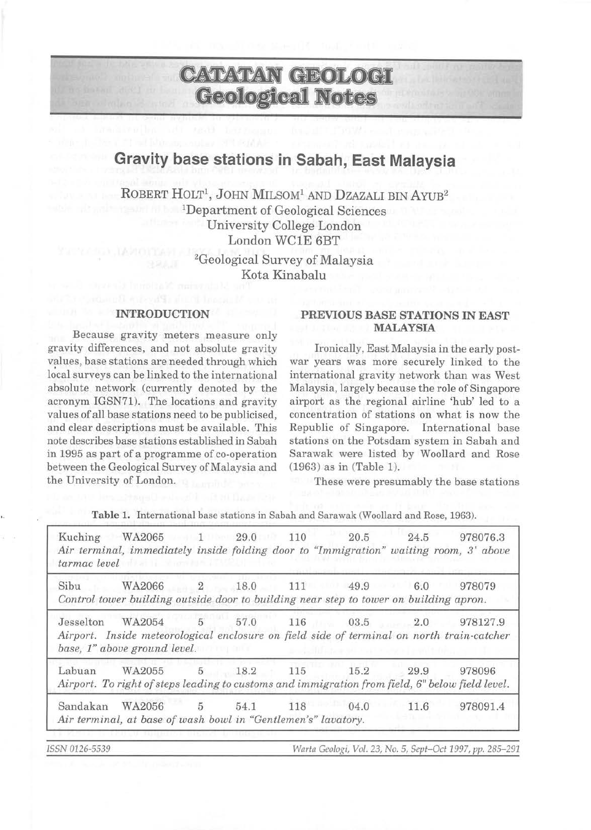# **CATATAN GEOLOGI Geological Notes**

# **Gravity base stations in Sabah, East Malaysia**

ROBERT HOLT<sup>1</sup>, JOHN MILSOM<sup>1</sup> AND DZAZALI BIN AYUB<sup>2</sup> IDepartment of Geological Sciences University College London London WCIE 6BT

> 2Geological Survey of Malaysia Kota Kinabalu

#### **INTRODUCTION**

Because gravity meters measure only gravity differences, and not absolute gravity values, base stations are needed through which local surveys can be linked to the international absolute network (currently denoted by the acronym IGSN71). The locations and gravity values of all base stations need to be publicised, and clear descriptions must be available. This note describes base stations established in Sabah in 1995 as part of a programme of co-operation between the Geological Survey of Malaysia and the University of London.

## **PREVIOUS BASE STATIONS IN EAST MALAYSIA**

Ironically, East Malaysia in the early postwar years was more securely linked to the international gravity network than was West Malaysia, largely because the role of Singapore airport as the regional airline 'hub' led to a concentration of stations on what is now the Republic of Singapore. International base stations on the Potsdam system in Sabah and Sarawak were listed by Woollard and Rose (1963) as in (Table 1).

These were presumably the base stations

|           | Kuching WA2065<br>Air terminal, immediately inside folding door to "Immigration" waiting room, 3' above<br><i>tarmac level</i> tarmac <i>level</i> |                | 1 29.0 110            |             | 20.5         | 24.5 | 978076.3 |
|-----------|----------------------------------------------------------------------------------------------------------------------------------------------------|----------------|-----------------------|-------------|--------------|------|----------|
| Sibu      | WA2066<br>Control tower building outside door to building near step to tower on building apron.                                                    | 2              | 18.0                  |             | 111 49.9     | 6.0  | 978079   |
| Jesselton | WA2054<br>Airport. Inside meteorological enclosure on field side of terminal on north train-catcher<br>base, 1" above ground level.                | 5              | 57.0<br>29 M.A. MILLE | and a state | 116 03.5 2.0 |      | 978127.9 |
| Labuan    | WA2055<br>Airport. To right of steps leading to customs and immigration from field, 6" below field level.                                          |                | 5 18.2                | 115         | 15.2         | 29.9 | 978096   |
| Sandakan  | WA2056<br>Air terminal, at base of wash bowl in "Gentlemen's" lavatory.                                                                            | $\overline{5}$ | 54.1                  | 118         | 04.0         | 11.6 | 978091.4 |

**Table** 1. International base stations in Sabah and Sarawak (Woollard and Rose, 1963).

*IS SN 0126-5539 Warta Geologi, Vol.* 23, *No. 5, Sept-Oct* 1997, *pp. 285- 291*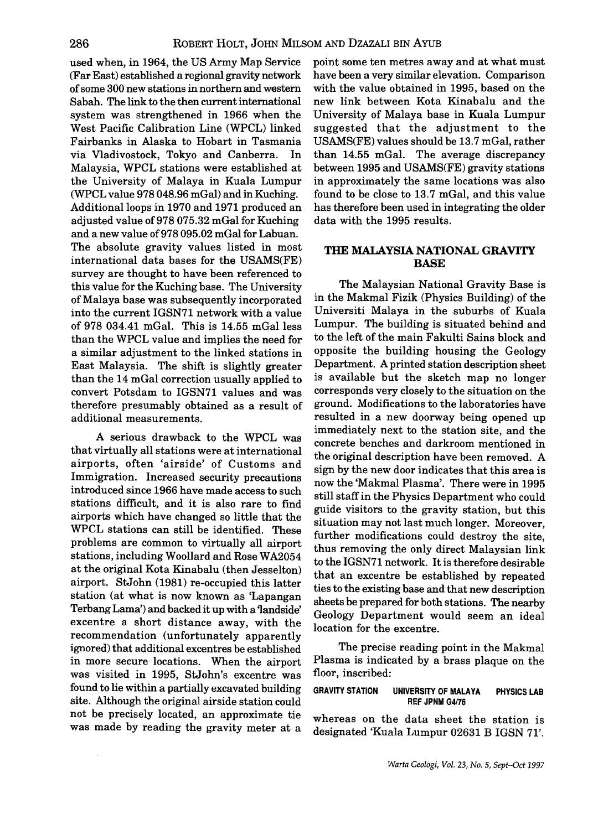used when, in 1964, the US Army Map Service (Far East) established a regional gravity network of some 300 new stations in northern and western Sabah. The link to the then current international system was strengthened in 1966 when the West Pacific Calibration Line (WPCL) linked Fairbanks in Alaska to Hobart in Tasmania via Vladivostock, Tokyo and Canberra. In Malaysia, WPCL stations were established at the University of Malaya in Kuala Lumpur (WPCL value 978 048.96 mGal) and in Kuching. Additional loops in 1970 and 1971 produced an adjusted value of978 075.32 mGal for Kuching and a new value of978 095.02 mGal for Labuan. The absolute gravity values listed in most international data bases for the USAMS(FE) survey are thought to have been referenced to this value for the Kuching base. The University of Malaya base was subsequently incorporated into the current IGSN71 network with a value of 978 034.41 mGal. This is 14.55 mGalless than the WPCL value and implies the need for a similar adjustment to the linked stations in East Malaysia. The shift is slightly greater than the 14 mGal correction usually applied to convert Potsdam to IGSN71 values and was therefore presumably obtained as a result of additional measurements.

A serious drawback to the WPCL was that virtually all stations were at international airports, often 'airside' of Customs and Immigration. Increased security precautions introduced since 1966 have made access to such stations difficult, and it is also rare to find airports which have changed so little that the WPCL stations can still be identified. These problems are common to virtually all airport stations, including Woollard and Rose WA2054 at the original Kota Kinabalu (then Jesselton) airport. StJohn (1981) re-occupied this latter station (at what is now known as 'Lapangan Terbang Lama') and backed it up with a'landside' excentre a short distance away, with the recommendation (unfortunately apparently ignored) that additional excentres be established in more secure locations. When the airport was visited in 1995, StJohn's excentre was found to lie within a partially excavated building site. Although the original airside station could not be precisely located, an approximate tie was made by reading the gravity meter at a point some ten metres away and at what must have been a very similar elevation. Comparison with the value obtained in 1995, based on the new link between Kota Kinabalu and the University of Malaya base in Kuala Lumpur suggested that the adjustment to the USAMS(FE) values should be 13.7 mGal, rather than 14.55 mGal. The average discrepancy between 1995 and USAMS(FE) gravity stations in approximately the same locations was also found to be close to 13.7 mGal, and this value has therefore been used in integrating the older data with the 1995 results.

# THE MALAYSIA NATIONAL GRAVITY BASE

The Malaysian National Gravity Base is in the Makmal Fizik (Physics Building) of the Universiti Malaya in the suburbs of Kuala Lumpur. The building is situated behind and to the left of the main Fakulti Sains block and opposite the building housing the Geology Department. A printed station description sheet is available but the sketch map no longer corresponds very closely to the situation on the ground. Modifications to the laboratories have resulted in a new doorway being opened up immediately next to the station site, and the concrete benches and darkroom mentioned in the original description have been removed. A sign by the new door indicates that this area is now the 'Makmal Plasma'. There were in 1995 still staff in the Physics Department who could guide visitors to the gravity station, but this situation may not last much longer. Moreover, further modifications could destroy the site, thus removing the only direct Malaysian link to the IGSN71 network. It is therefore desirable that an excentre be established by repeated ties to the existing base and that new description sheets be prepared for both stations. The nearby Geology Department would seem an ideal location for the excentre.

The precise reading point in the Makmal Plasma is indicated by a brass plaque on the floor, inscribed:

GRAVITY STATION UNIVERSITY OF MALAYA PHYSICS LAB REF JPNM G4176

whereas on the data sheet the station is designated 'Kuala Lumpur 02631 B IGSN 71'.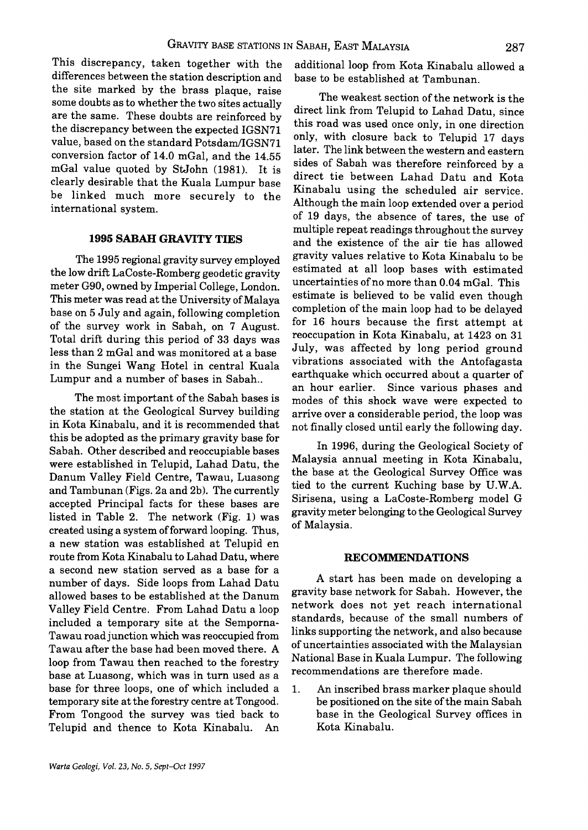This discrepancy, taken together with the differences between the station description and the site marked by the brass plaque, raise some doubts as to whether the two sites actually are the same. These doubts are reinforced by the discrepancy between the expected IGSN71 value, based on the standard Potsdam/lGSN71 conversion factor of 14.0 mGal, and the 14.55 mGal value quoted by StJohn (1981). It is clearly desirable that the Kuala Lumpur base be linked much more securely to the international system.

## **1995 SABAH GRAVITY TIES**

The 1995 regional gravity survey employed the low drift LaCoste-Romberg geodetic gravity meter G90, owned by Imperial College, London. This meter was read at the University of Malaya base on 5 July and again, following completion of the survey work in Sabah, on 7 August. Total drift during this period of 33 days was less than 2 mGal and was monitored at a base in the Sungei Wang Hotel in central Kuala Lumpur and a number of bases in Sabah..

The most important of the Sabah bases is the station at the Geological Survey building in Kota Kinabalu, and it is recommended that this be adopted as the primary gravity base for Sabah. Other described and reoccupiable bases were established in Telupid, Lahad Datu, the Danum Valley Field Centre, Tawau, Luasong and Tambunan (Figs. 2a and 2b). The currently accepted Principal facts for these bases are listed in Table 2. The network (Fig. 1) was created using a system of forward looping. Thus, a new station was established at Telupid en route from Kota Kinabalu to Lahad Datu, where a second new station served as a base for a number of days. Side loops from Lahad Datu allowed bases to be established at the Danum Valley Field Centre. From Lahad Datu a loop included a temporary site at the Semporna-Tawau road junction which was reoccupied from Tawau after the base had been moved there. A loop from Tawau then reached to the forestry base at Luasong, which was in turn used as a base for three loops, one of which included a temporary site at the forestry centre at Tongood. From Tongood the survey was tied back to Telupid and thence to Kota Kinabalu. An additional loop from Kota Kinabalu allowed a base to be established at Tambunan.

The weakest section of the network is the direct link from Telupid to Lahad Datu, since this road was used once only, in one direction only, with closure back to Telupid 17 days later. The link between the western and eastern sides of Sabah was therefore reinforced by a direct tie between Lahad Datu and Kota Kinabalu using the scheduled air service. Although the main loop extended over a period of 19 days, the absence of tares, the use of multiple repeat readings throughout the survey and the existence of the air tie has allowed gravity values relative to Kota Kinabalu to be estimated at all loop bases with estimated uncertainties of no more than 0.04 mGal. This estimate is believed to be valid even though completion of the main loop had to be delayed for 16 hours because the first attempt at reoccupation in Kota Kinabalu, at 1423 on 31 July, was affected by long period ground vibrations associated with the Antofagasta earthquake which occurred about a quarter of an hour earlier. Since various phases and modes of this shock wave were expected to arrive over a considerable period, the loop was not finally closed until early the following day.

In 1996, during the Geological Society of Malaysia annual meeting in Kota Kinabalu, the base at the Geological Survey Office was tied to the current Kuching base by U.W.A. Sirisena, using a LaCoste-Romberg model G gravity meter belonging to the Geological Survey of Malaysia.

#### **RECOMMENDATIONS**

A start has been made on developing a gravity base network for Sabah. However, the network does not yet reach international standards, because of the small numbers of links supporting the network, and also because of uncertainties associated with the Malaysian National Base in Kuala Lumpur. The following recommendations are therefore made.

1. An inscribed brass marker plaque should be positioned on the site of the main Sabah base in the Geological Survey offices in Kota Kinabalu.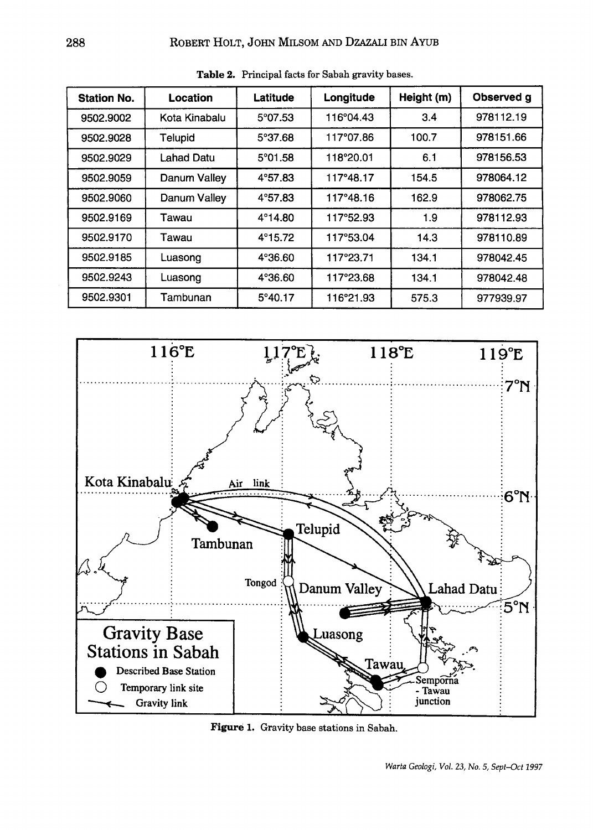| <b>Station No.</b> | Location      | Latitude         | Longitude | Height (m) | Observed g |
|--------------------|---------------|------------------|-----------|------------|------------|
| 9502.9002          | Kota Kinabalu | $5^{\circ}07.53$ | 116°04.43 | 3.4        | 978112.19  |
| 9502.9028          | Telupid       | 5°37.68          | 117°07.86 | 100.7      | 978151.66  |
| 9502.9029          | Lahad Datu    | $5^{\circ}01.58$ | 118°20.01 | 6.1        | 978156.53  |
| 9502.9059          | Danum Valley  | $4^{\circ}57.83$ | 117°48.17 | 154.5      | 978064.12  |
| 9502.9060          | Danum Valley  | 4°57.83          | 117°48.16 | 162.9      | 978062.75  |
| 9502.9169          | Tawau         | $4^{\circ}14.80$ | 117°52.93 | 1.9        | 978112.93  |
| 9502.9170          | Tawau         | $4^{\circ}15.72$ | 117°53.04 | 14.3       | 978110.89  |
| 9502.9185          | Luasong       | $4^{\circ}36.60$ | 117°23.71 | 134.1      | 978042.45  |
| 9502.9243          | Luasong       | 4°36.60          | 117°23.68 | 134.1      | 978042.48  |
| 9502.9301          | Tambunan      | $5^{\circ}40.17$ | 116°21.93 | 575.3      | 977939.97  |

Table 2. Principal facts for Sabah gravity bases.



Figure 1. Gravity base stations in Sabah.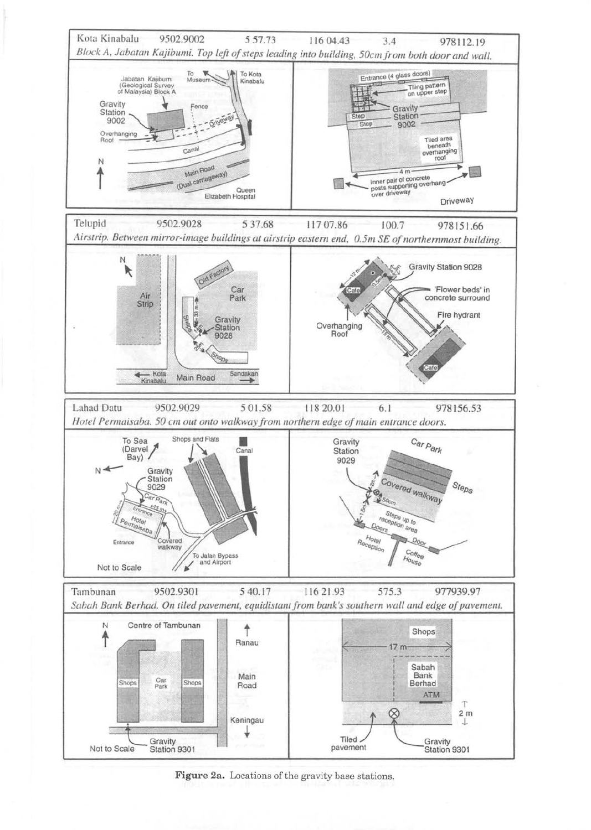

Figure 2a. Locations of the gravity base stations.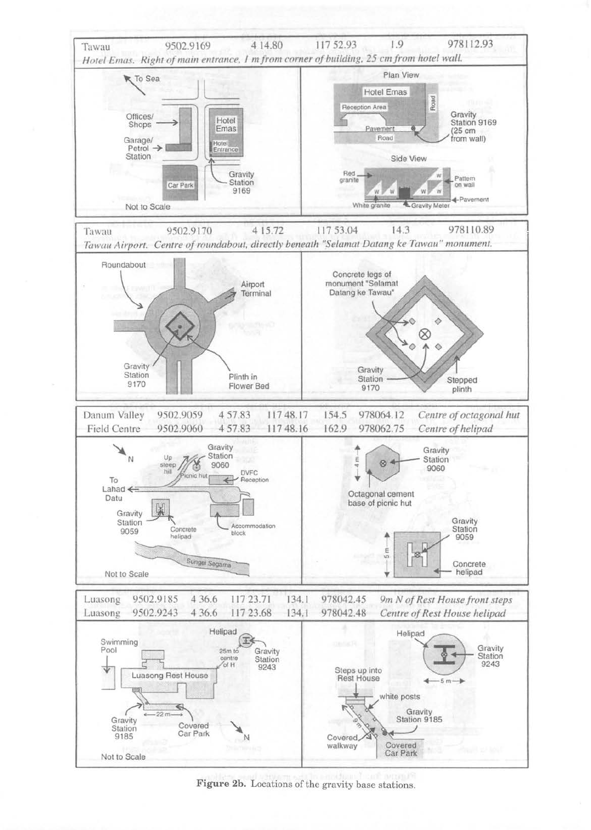

Figure 2b. Locations of the gravity base stations.